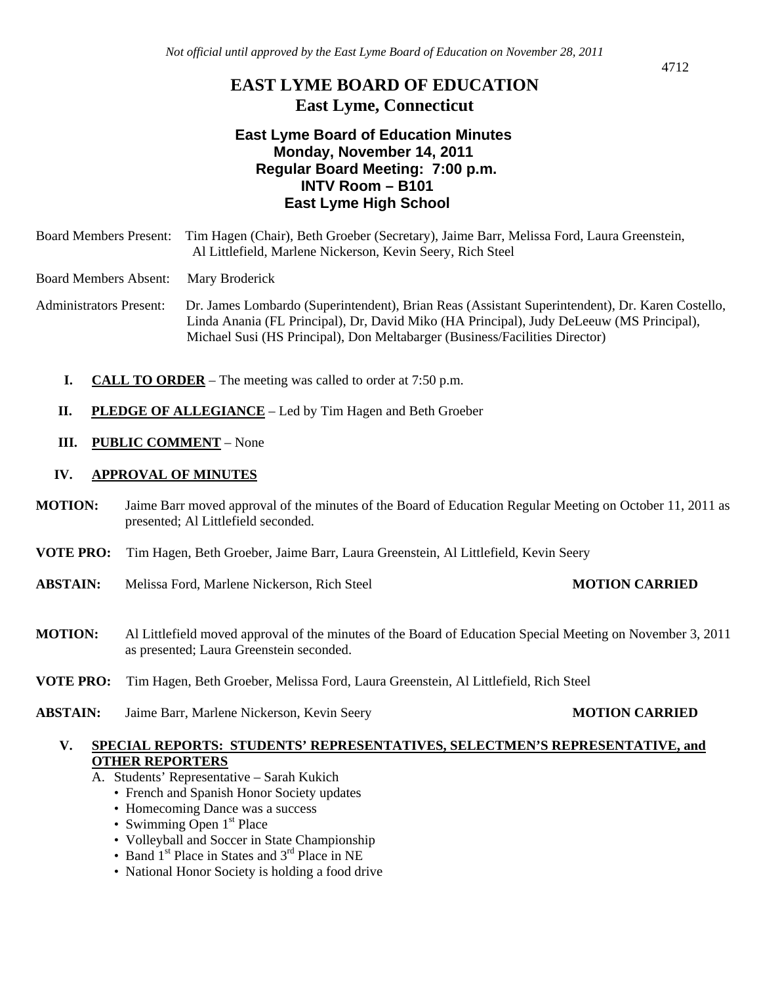# **EAST LYME BOARD OF EDUCATION East Lyme, Connecticut**

# **East Lyme Board of Education Minutes Monday, November 14, 2011 Regular Board Meeting: 7:00 p.m. INTV Room – B101 East Lyme High School**

Board Members Present: Tim Hagen (Chair), Beth Groeber (Secretary), Jaime Barr, Melissa Ford, Laura Greenstein, Al Littlefield, Marlene Nickerson, Kevin Seery, Rich Steel

Board Members Absent: Mary Broderick

Administrators Present: Dr. James Lombardo (Superintendent), Brian Reas (Assistant Superintendent), Dr. Karen Costello, Linda Anania (FL Principal), Dr, David Miko (HA Principal), Judy DeLeeuw (MS Principal), Michael Susi (HS Principal), Don Meltabarger (Business/Facilities Director)

- **I. CALL TO ORDER** The meeting was called to order at 7:50 p.m.
- **II. PLEDGE OF ALLEGIANCE** Led by Tim Hagen and Beth Groeber
- **III. PUBLIC COMMENT** None

### **IV. APPROVAL OF MINUTES**

- **MOTION:** Jaime Barr moved approval of the minutes of the Board of Education Regular Meeting on October 11, 2011 as presented; Al Littlefield seconded.
- **VOTE PRO:** Tim Hagen, Beth Groeber, Jaime Barr, Laura Greenstein, Al Littlefield, Kevin Seery
- **ABSTAIN:** Melissa Ford, Marlene Nickerson, Rich Steel **MOTION CARRIED**

- **MOTION:** Al Littlefield moved approval of the minutes of the Board of Education Special Meeting on November 3, 2011 as presented; Laura Greenstein seconded.
- **VOTE PRO:** Tim Hagen, Beth Groeber, Melissa Ford, Laura Greenstein, Al Littlefield, Rich Steel
- **ABSTAIN:** Jaime Barr, Marlene Nickerson, Kevin Seery **MOTION CARRIED**

## **V. SPECIAL REPORTS: STUDENTS' REPRESENTATIVES, SELECTMEN'S REPRESENTATIVE, and OTHER REPORTERS**

- A. Students' Representative Sarah Kukich
	- French and Spanish Honor Society updates
	- Homecoming Dance was a success
	- Swimming Open  $1<sup>st</sup>$  Place
	- Volleyball and Soccer in State Championship
	- Band 1<sup>st</sup> Place in States and 3<sup>rd</sup> Place in NE
	- National Honor Society is holding a food drive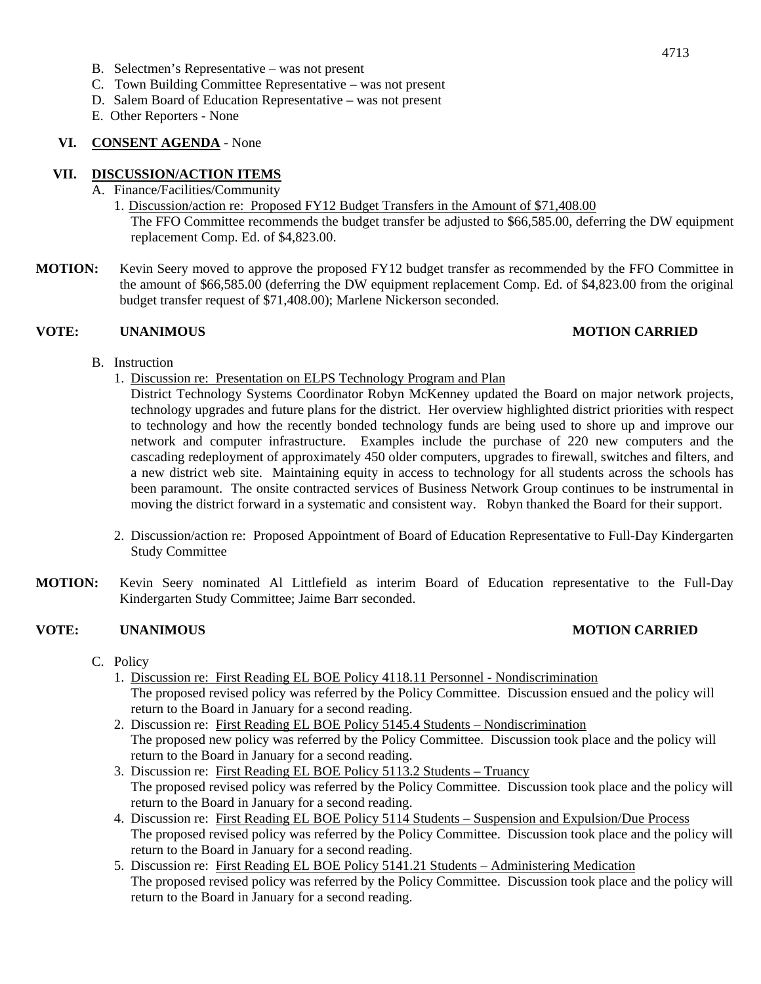- B. Selectmen's Representative was not present
- C. Town Building Committee Representative was not present
- D. Salem Board of Education Representative was not present
- E. Other Reporters None

### **VI. CONSENT AGENDA** - None

### **VII. DISCUSSION/ACTION ITEMS**

- A. Finance/Facilities/Community
	- 1. Discussion/action re: Proposed FY12 Budget Transfers in the Amount of \$71,408.00

The FFO Committee recommends the budget transfer be adjusted to \$66,585.00, deferring the DW equipment replacement Comp. Ed. of \$4,823.00.

**MOTION:** Kevin Seery moved to approve the proposed FY12 budget transfer as recommended by the FFO Committee in the amount of \$66,585.00 (deferring the DW equipment replacement Comp. Ed. of \$4,823.00 from the original budget transfer request of \$71,408.00); Marlene Nickerson seconded.

### **VOTE: UNANIMOUS MOTION CARRIED**

- B. Instruction
	- 1. Discussion re: Presentation on ELPS Technology Program and Plan

District Technology Systems Coordinator Robyn McKenney updated the Board on major network projects, technology upgrades and future plans for the district. Her overview highlighted district priorities with respect to technology and how the recently bonded technology funds are being used to shore up and improve our network and computer infrastructure. Examples include the purchase of 220 new computers and the cascading redeployment of approximately 450 older computers, upgrades to firewall, switches and filters, and a new district web site. Maintaining equity in access to technology for all students across the schools has been paramount. The onsite contracted services of Business Network Group continues to be instrumental in moving the district forward in a systematic and consistent way. Robyn thanked the Board for their support.

- 2. Discussion/action re: Proposed Appointment of Board of Education Representative to Full-Day Kindergarten Study Committee
- **MOTION:** Kevin Seery nominated Al Littlefield as interim Board of Education representative to the Full-Day Kindergarten Study Committee; Jaime Barr seconded.

### **VOTE: UNANIMOUS MOTION CARRIED**

- C. Policy
	- 1. Discussion re: First Reading EL BOE Policy 4118.11 Personnel Nondiscrimination The proposed revised policy was referred by the Policy Committee. Discussion ensued and the policy will return to the Board in January for a second reading.
	- 2. Discussion re: First Reading EL BOE Policy 5145.4 Students Nondiscrimination The proposed new policy was referred by the Policy Committee. Discussion took place and the policy will return to the Board in January for a second reading.
	- 3. Discussion re: First Reading EL BOE Policy 5113.2 Students Truancy The proposed revised policy was referred by the Policy Committee. Discussion took place and the policy will return to the Board in January for a second reading.
	- 4. Discussion re: First Reading EL BOE Policy 5114 Students Suspension and Expulsion/Due Process The proposed revised policy was referred by the Policy Committee. Discussion took place and the policy will return to the Board in January for a second reading.
	- 5. Discussion re: First Reading EL BOE Policy 5141.21 Students Administering Medication The proposed revised policy was referred by the Policy Committee. Discussion took place and the policy will return to the Board in January for a second reading.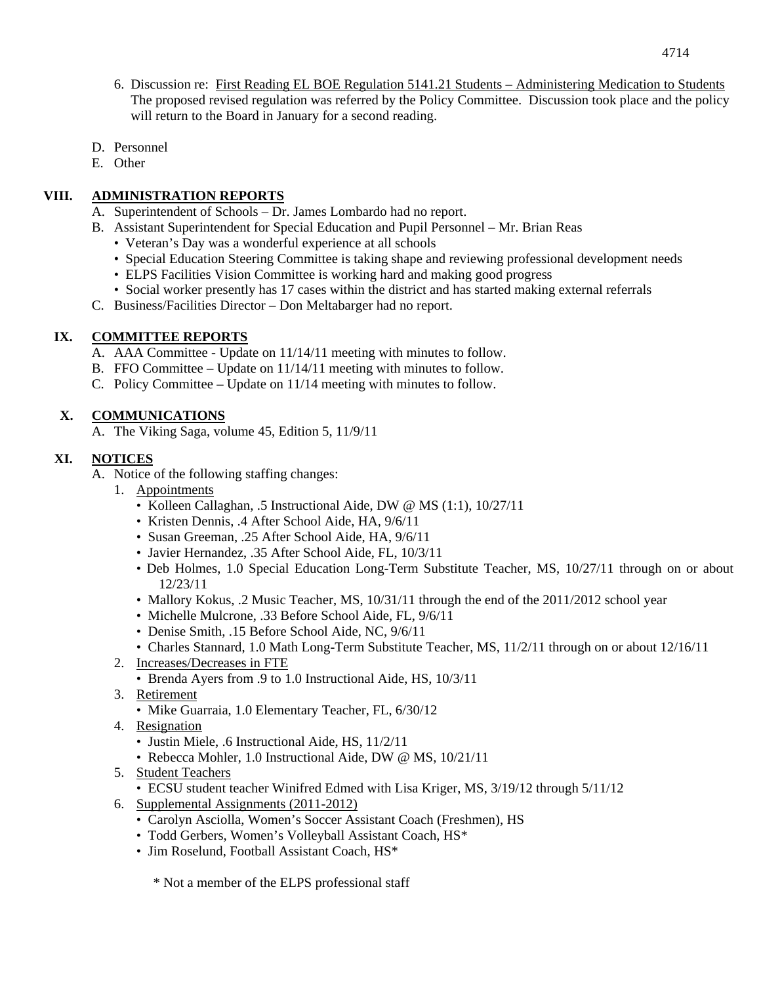- D. Personnel
- E. Other

# **VIII. ADMINISTRATION REPORTS**

- A. Superintendent of Schools Dr. James Lombardo had no report.
- B. Assistant Superintendent for Special Education and Pupil Personnel Mr. Brian Reas
	- Veteran's Day was a wonderful experience at all schools
	- Special Education Steering Committee is taking shape and reviewing professional development needs
	- ELPS Facilities Vision Committee is working hard and making good progress
	- Social worker presently has 17 cases within the district and has started making external referrals
- C. Business/Facilities Director Don Meltabarger had no report.

# **IX. COMMITTEE REPORTS**

- A. AAA Committee Update on 11/14/11 meeting with minutes to follow.
- B. FFO Committee Update on 11/14/11 meeting with minutes to follow.
- C. Policy Committee Update on 11/14 meeting with minutes to follow.

# **X. COMMUNICATIONS**

A. The Viking Saga, volume 45, Edition 5, 11/9/11

# **XI. NOTICES**

- A. Notice of the following staffing changes:
	- 1. Appointments
		- Kolleen Callaghan, .5 Instructional Aide, DW @ MS (1:1), 10/27/11
		- Kristen Dennis, .4 After School Aide, HA, 9/6/11
		- Susan Greeman, .25 After School Aide, HA, 9/6/11
		- Javier Hernandez, .35 After School Aide, FL, 10/3/11
		- Deb Holmes, 1.0 Special Education Long-Term Substitute Teacher, MS, 10/27/11 through on or about 12/23/11
		- Mallory Kokus, .2 Music Teacher, MS, 10/31/11 through the end of the 2011/2012 school year
		- Michelle Mulcrone, .33 Before School Aide, FL, 9/6/11
		- Denise Smith, .15 Before School Aide, NC, 9/6/11
		- Charles Stannard, 1.0 Math Long-Term Substitute Teacher, MS, 11/2/11 through on or about 12/16/11
	- 2. Increases/Decreases in FTE
		- Brenda Ayers from .9 to 1.0 Instructional Aide, HS, 10/3/11
	- 3. Retirement
		- Mike Guarraia, 1.0 Elementary Teacher, FL, 6/30/12
	- 4. Resignation
		- Justin Miele, .6 Instructional Aide, HS, 11/2/11
		- Rebecca Mohler, 1.0 Instructional Aide, DW @ MS, 10/21/11
	- 5. Student Teachers
		- ECSU student teacher Winifred Edmed with Lisa Kriger, MS, 3/19/12 through 5/11/12
	- 6. Supplemental Assignments (2011-2012)
		- Carolyn Asciolla, Women's Soccer Assistant Coach (Freshmen), HS
		- Todd Gerbers, Women's Volleyball Assistant Coach, HS\*
		- Jim Roselund, Football Assistant Coach, HS\*

\* Not a member of the ELPS professional staff